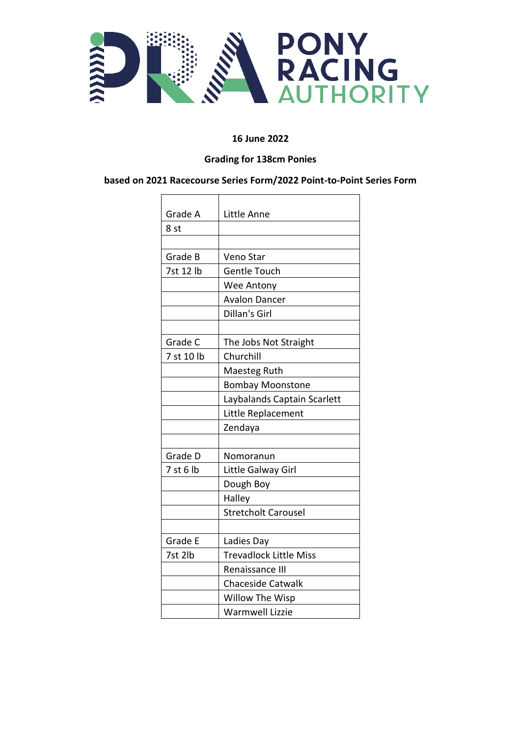

#### **16 June 2022**

### **Grading for 138cm Ponies**

### **based on 2021 Racecourse Series Form/2022 Point-to-Point Series Form**

| Grade A         | Little Anne                   |
|-----------------|-------------------------------|
| 8 <sub>st</sub> |                               |
|                 |                               |
| Grade B         | Veno Star                     |
| 7st 12 lb       | <b>Gentle Touch</b>           |
|                 | Wee Antony                    |
|                 | <b>Avalon Dancer</b>          |
|                 | Dillan's Girl                 |
|                 |                               |
| Grade C         | The Jobs Not Straight         |
| 7 st 10 lb      | Churchill                     |
|                 | <b>Maesteg Ruth</b>           |
|                 | <b>Bombay Moonstone</b>       |
|                 | Laybalands Captain Scarlett   |
|                 | Little Replacement            |
|                 | Zendaya                       |
|                 |                               |
| Grade D         | Nomoranun                     |
| 7 st 6 lb       | Little Galway Girl            |
|                 | Dough Boy                     |
|                 | Halley                        |
|                 | <b>Stretcholt Carousel</b>    |
|                 |                               |
| Grade E         | Ladies Day                    |
| 7st 2lb         | <b>Trevadlock Little Miss</b> |
|                 | Renaissance III               |
|                 | <b>Chaceside Catwalk</b>      |
|                 | Willow The Wisp               |
|                 | <b>Warmwell Lizzie</b>        |